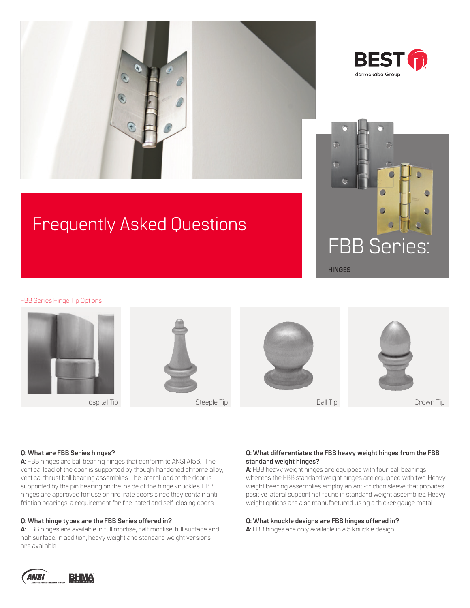



# Frequently Asked Questions



FBB Series Hinge Tip Options



#### **Q: What are FBB Series hinges?**

**A:** FBB hinges are ball bearing hinges that conform to ANSI A156.1. The vertical load of the door is supported by though-hardened chrome alloy, vertical thrust ball bearing assemblies. The lateral load of the door is supported by the pin bearing on the inside of the hinge knuckles. FBB hinges are approved for use on fire-rate doors since they contain antifriction bearings, a requirement for fire-rated and self-closing doors.

#### **Q: What hinge types are the FBB Series offered in?**

**A:** FBB hinges are available in full mortise, half mortise, full surface and half surface. In addition, heavy weight and standard weight versions are available.

# **Q: What differentiates the FBB heavy weight hinges from the FBB standard weight hinges?**

**A:** FBB heavy weight hinges are equipped with four ball bearings whereas the FBB standard weight hinges are equipped with two. Heavy weight bearing assemblies employ an anti-friction sleeve that provides positive lateral support not found in standard weight assemblies. Heavy weight options are also manufactured using a thicker gauge metal.

#### **Q: What knuckle designs are FBB hinges offered in?**

**A:** FBB hinges are only available in a 5 knuckle design.